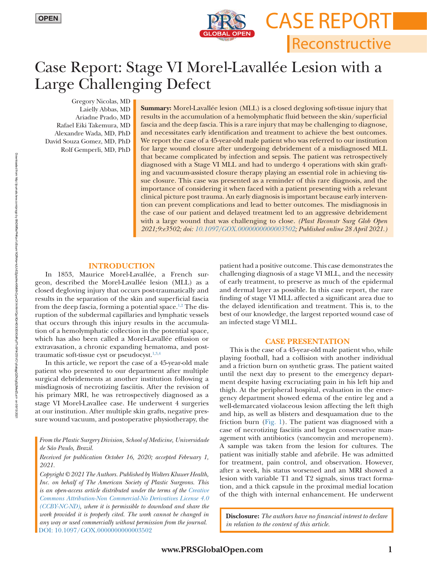

Reconstructive

Case Report

# Case Report: Stage VI Morel-Lavallée Lesion with a Large Challenging Defect

Gregory Nicolas, MD Laielly Abbas, MD Ariadne Prado, MD Rafael Eiki Takemura, MD Alexandre Wada, MD, PhD David Souza Gomez, MD, PhD Rolf Gemperli, MD, PhD

**Summary:** Morel-Lavallée lesion (MLL) is a closed degloving soft-tissue injury that results in the accumulation of a hemolymphatic fluid between the skin/superficial fascia and the deep fascia. This is a rare injury that may be challenging to diagnose, and necessitates early identification and treatment to achieve the best outcomes. We report the case of a 45-year-old male patient who was referred to our institution for large wound closure after undergoing debridement of a misdiagnosed MLL that became complicated by infection and sepsis. The patient was retrospectively diagnosed with a Stage VI MLL and had to undergo 4 operations with skin grafting and vacuum-assisted closure therapy playing an essential role in achieving tissue closure. This case was presented as a reminder of this rare diagnosis, and the importance of considering it when faced with a patient presenting with a relevant clinical picture post trauma. An early diagnosis is important because early intervention can prevent complications and lead to better outcomes. The misdiagnosis in the case of our patient and delayed treatment led to an aggressive debridement with a large wound that was challenging to close. *(Plast Reconstr Surg Glob Open 2021;9:e3502; doi: [10.1097/GOX.0000000000003502](https://doi.org/10.1097/GOX.0000000000003502); Published online 28 April 2021.)*

#### **INTRODUCTION**

In 1853, Maurice Morel-Lavallée, a French surgeon, described the Morel-Lavallée lesion (MLL) as a closed degloving injury that occurs post-traumatically and results in the separation of the skin and superficial fascia from the deep fascia, forming a potential space.<sup>1,2</sup> The disruption of the subdermal capillaries and lymphatic vessels that occurs through this injury results in the accumulation of a hemolymphatic collection in the potential space, which has also been called a Morel-Lavallée effusion or extravasation, a chronic expanding hematoma, and posttraumatic soft-tissue cyst or pseudocyst.<sup>1,3,4</sup>

In this article, we report the case of a 45-year-old male patient who presented to our department after multiple surgical debridements at another institution following a misdiagnosis of necrotizing fasciitis. After the revision of his primary MRI, he was retrospectively diagnosed as a stage VI Morel-Lavallee case. He underwent 4 surgeries at our institution. After multiple skin grafts, negative pressure wound vacuum, and postoperative physiotherapy, the

### *Received for publication October 16, 2020; accepted February 1, 2021.*

*Copyright © 2021 The Authors. Published by Wolters Kluwer Health, Inc. on behalf of The American Society of Plastic Surgeons. This is an open-access article distributed under the terms of the [Creative](http://creativecommons.org/licenses/by-nc-nd/4.0/)  [Commons Attribution-Non Commercial-No Derivatives License 4.0](http://creativecommons.org/licenses/by-nc-nd/4.0/)  [\(CCBY-NC-ND\)](http://creativecommons.org/licenses/by-nc-nd/4.0/), where it is permissible to download and share the work provided it is properly cited. The work cannot be changed in any way or used commercially without permission from the journal.* DOI: [10.1097/GOX.0000000000003502](https://doi.org/10.1097/GOX.0000000000003502)

patient had a positive outcome. This case demonstrates the challenging diagnosis of a stage VI MLL, and the necessity of early treatment, to preserve as much of the epidermal and dermal layer as possible. In this case report, the rare finding of stage VI MLL affected a significant area due to the delayed identification and treatment. This is, to the best of our knowledge, the largest reported wound case of an infected stage VI MLL.

### **CASE PRESENTATION**

This is the case of a 45-year-old male patient who, while playing football, had a collision with another individual and a friction burn on synthetic grass. The patient waited until the next day to present to the emergency department despite having excruciating pain in his left hip and thigh. At the peripheral hospital, evaluation in the emergency department showed edema of the entire leg and a well-demarcated violaceous lesion affecting the left thigh and hip, as well as blisters and desquamation due to the friction burn (Fig. 1). The patient was diagnosed with a case of necrotizing fasciitis and began conservative management with antibiotics (vancomycin and meropenem). A sample was taken from the lesion for cultures. The patient was initially stable and afebrile. He was admitted for treatment, pain control, and observation. However, after a week, his status worsened and an MRI showed a lesion with variable T1 and T2 signals, sinus tract formation, and a thick capsule in the proximal medial location of the thigh with internal enhancement. He underwent

**Disclosure:** *The authors have no financial interest to declare in relation to the content of this article.*

*From the Plastic Surgery Division, School of Medicine, Universidade de São Paulo, Brazil.*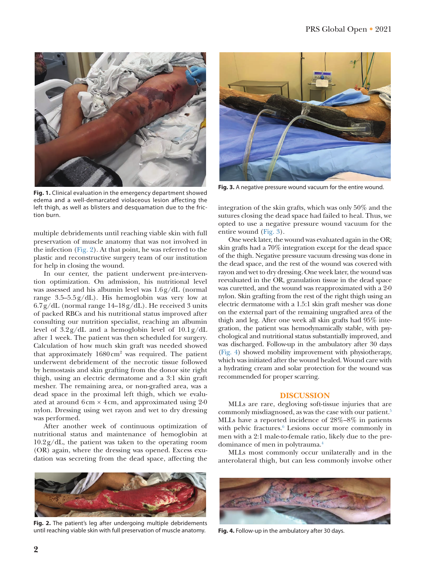

**Fig. 1.** Clinical evaluation in the emergency department showed edema and a well-demarcated violaceous lesion affecting the left thigh, as well as blisters and desquamation due to the friction burn.

multiple debridements until reaching viable skin with full preservation of muscle anatomy that was not involved in the infection (Fig. 2). At that point, he was referred to the plastic and reconstructive surgery team of our institution for help in closing the wound.

In our center, the patient underwent pre-intervention optimization. On admission, his nutritional level was assessed and his albumin level was 1.6g/dL (normal range 3.5–5.5g/dL). His hemoglobin was very low at  $6.7g/dL$  (normal range 14–18g/dL). He received 3 units of packed RBCs and his nutritional status improved after consulting our nutrition specialist, reaching an albumin level of 3.2g/dL and a hemoglobin level of 10.1g/dL after 1 week. The patient was then scheduled for surgery. Calculation of how much skin graft was needed showed that approximately 1680 cm<sup>2</sup> was required. The patient underwent debridement of the necrotic tissue followed by hemostasis and skin grafting from the donor site right thigh, using an electric dermatome and a 3:1 skin graft mesher. The remaining area, or non-grafted area, was a dead space in the proximal left thigh, which we evaluated at around  $6 \text{ cm} \times 4 \text{ cm}$ , and approximated using 2-0 nylon. Dressing using wet rayon and wet to dry dressing was performed.

After another week of continuous optimization of nutritional status and maintenance of hemoglobin at 10.2g/dL, the patient was taken to the operating room (OR) again, where the dressing was opened. Excess exudation was secreting from the dead space, affecting the



**Fig. 2.** The patient's leg after undergoing multiple debridements until reaching viable skin with full preservation of muscle anatomy.



**Fig. 3.** A negative pressure wound vacuum for the entire wound.

integration of the skin grafts, which was only 50% and the sutures closing the dead space had failed to heal. Thus, we opted to use a negative pressure wound vacuum for the entire wound (Fig. 3).

One week later, the wound was evaluated again in the OR; skin grafts had a 70% integration except for the dead space of the thigh. Negative pressure vacuum dressing was done in the dead space, and the rest of the wound was covered with rayon and wet to dry dressing. One week later, the wound was reevaluated in the OR, granulation tissue in the dead space was curetted, and the wound was reapproximated with a 2-0 nylon. Skin grafting from the rest of the right thigh using an electric dermatome with a 1.5:1 skin graft mesher was done on the external part of the remaining ungrafted area of the thigh and leg. After one week all skin grafts had 95% integration, the patient was hemodynamically stable, with psychological and nutritional status substantially improved, and was discharged. Follow-up in the ambulatory after 30 days (Fig. 4) showed mobility improvement with physiotherapy, which was initiated after the wound healed. Wound care with a hydrating cream and solar protection for the wound was recommended for proper scarring.

#### **DISCUSSION**

MLLs are rare, degloving soft-tissue injuries that are commonly misdiagnosed, as was the case with our patient.5 MLLs have a reported incidence of 28%–8% in patients with pelvic fractures.<sup>6</sup> Lesions occur more commonly in men with a 2:1 male-to-female ratio, likely due to the predominance of men in polytrauma.4

MLLs most commonly occur unilaterally and in the anterolateral thigh, but can less commonly involve other



**Fig. 4.** Follow-up in the ambulatory after 30 days.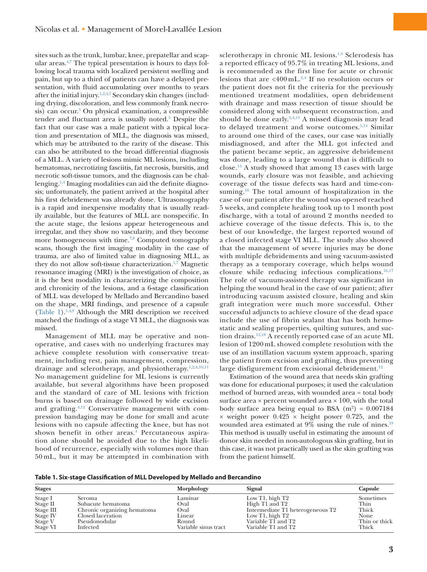sites such as the trunk, lumbar, knee, prepatellar and scapular areas.<sup>4,7</sup> The typical presentation is hours to days following local trauma with localized persistent swelling and pain, but up to a third of patients can have a delayed presentation, with fluid accumulating over months to years after the initial injury.<sup>1,2,4,7</sup> Secondary skin changes (including drying, discoloration, and less commonly frank necrosis) can occur.<sup>3</sup> On physical examination, a compressible tender and fluctuant area is usually noted.3 Despite the fact that our case was a male patient with a typical location and presentation of MLL, the diagnosis was missed, which may be attributed to the rarity of the disease. This can also be attributed to the broad differential diagnosis of a MLL. A variety of lesions mimic ML lesions, including hematomas, necrotizing fasciitis, fat necrosis, bursitis, and necrotic soft-tissue tumors, and the diagnosis can be challenging.1,4 Imaging modalities can aid the definite diagnosis; unfortunately, the patient arrived at the hospital after his first debridement was already done. Ultrasonography is a rapid and inexpensive modality that is usually readily available, but the features of MLL are nonspecific. In the acute stage, the lesions appear heterogeneous and irregular, and they show no vascularity, and they become more homogeneous with time.<sup>7,8</sup> Computed tomography scans, though the first imaging modality in the case of trauma, are also of limited value in diagnosing MLL, as they do not allow soft-tissue characterization.<sup>1,7</sup> Magnetic resonance imaging (MRI) is the investigation of choice, as it is the best modality in characterizing the composition and chronicity of the lesions, and a 6-stage classification of MLL was developed by Mellado and Bercandino based on the shape, MRI findings, and presence of a capsule (Table 1).1,4,9 Although the MRI description we received matched the findings of a stage VI MLL, the diagnosis was missed.

Management of MLL may be operative and nonoperative, and cases with no underlying fractures may achieve complete resolution with conservative treatment, including rest, pain management, compression, drainage and sclerotherapy, and physiotherapy.<sup>1,2,4,10,11</sup> No management guideline for ML lesions is currently available, but several algorithms have been proposed and the standard of care of ML lesions with friction burns is based on drainage followed by wide excision and grafting.4,12 Conservative management with compression bandaging may be done for small and acute lesions with no capsule affecting the knee, but has not shown benefit in other areas.<sup>4</sup> Percutaneous aspiration alone should be avoided due to the high likelihood of recurrence, especially with volumes more than 50 mL, but it may be attempted in combination with

sclerotherapy in chronic ML lesions.<sup>1,4</sup> Sclerodesis has a reported efficacy of 95.7% in treating ML lesions, and is recommended as the first line for acute or chronic lesions that are <400 mL.2,4 If no resolution occurs or the patient does not fit the criteria for the previously mentioned treatment modalities, open debridement with drainage and mass resection of tissue should be considered along with subsequent reconstruction, and should be done early. $2,4,13$  A missed diagnosis may lead to delayed treatment and worse outcomes.<sup>5,14</sup> Similar to around one third of the cases, our case was initially misdiagnosed, and after the MLL got infected and the patient became septic, an aggressive debridement was done, leading to a large wound that is difficult to close.15 A study showed that among 13 cases with large wounds, early closure was not feasible, and achieving coverage of the tissue defects was hard and time-consuming.16 The total amount of hospitalization in the case of our patient after the wound was opened reached 5 weeks, and complete healing took up to 1 month post discharge, with a total of around 2 months needed to achieve coverage of the tissue defects. This is, to the best of our knowledge, the largest reported wound of a closed infected stage VI MLL. The study also showed that the management of severe injuries may be done with multiple debridements and using vacuum-assisted therapy as a temporary coverage, which helps wound closure while reducing infectious complications. $16,17$ The role of vacuum-assisted therapy was significant in helping the wound heal in the case of our patient; after introducing vacuum assisted closure, healing and skin graft integration were much more successful. Other successful adjuncts to achieve closure of the dead space include the use of fibrin sealant that has both hemostatic and sealing properties, quilting sutures, and suction drains.12,18 A recently reported case of an acute ML lesion of 1200 mL showed complete resolution with the use of an instillation vacuum system approach, sparing the patient from excision and grafting, thus preventing large disfigurement from excisional debridement.<sup>12</sup>

Estimation of the wound area that needs skin grafting was done for educational purposes; it used the calculation method of burned areas, with wounded area = total body surface area  $\times$  percent wounded area  $\times$  100, with the total body surface area being equal to BSA  $(m^2) = 0.007184$  $\times$  weight power 0.425  $\times$  height power 0.725, and the wounded area estimated at  $9\%$  using the rule of nines.<sup>19</sup> This method is usually useful in estimating the amount of donor skin needed in non-autologous skin grafting, but in this case, it was not practically used as the skin grafting was from the patient himself.

**Table 1. Six-stage Classification of MLL Developed by Mellado and Bercandino**

| <b>Stages</b> |                             | Morphology           | Signal                           | Capsule       |
|---------------|-----------------------------|----------------------|----------------------------------|---------------|
| Stage I       | <b>Seroma</b>               | Laminar              | Low T1, high $T2$                | Sometimes     |
| Stage II      | Subacute hematoma           | Oval                 | High T1 and T2                   | Thin          |
| Stage III     | Chronic organizing hematoma | Oval                 | Intermediate T1 heterogeneous T2 | Thick         |
| Stage IV      | Closed laceration           | Linear               | Low T1, high T2                  | None          |
| Stage V       | Pseudonodular               | Round                | Variable TI and T2               | Thin or thick |
| Stage VI      | Infected                    | Variable sinus tract | Variable T1 and T2               | Thick         |